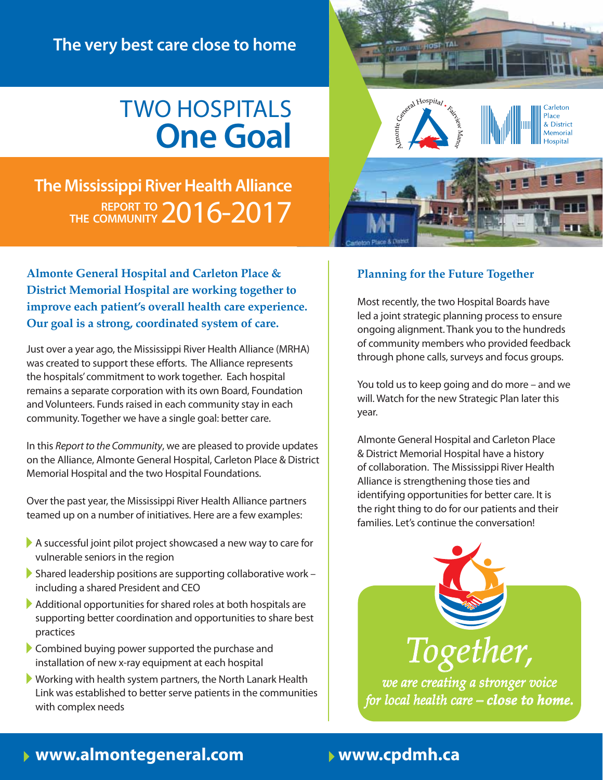## **The very best care close to home**

## Two Hospitals **One Goal**



**The Mississippi River Health Alliance** 2016-2017 **Report to the Community**

**Almonte General Hospital and Carleton Place & District Memorial Hospital are working together to improve each patient's overall health care experience. Our goal is a strong, coordinated system of care.** 

Just over a year ago, the Mississippi River Health Alliance (MRHA) was created to support these efforts. The Alliance represents the hospitals' commitment to work together. Each hospital remains a separate corporation with its own Board, Foundation and Volunteers. Funds raised in each community stay in each community. Together we have a single goal: better care.

In this *Report to the Community*, we are pleased to provide updates on the Alliance, Almonte General Hospital, Carleton Place & District Memorial Hospital and the two Hospital Foundations.

Over the past year, the Mississippi River Health Alliance partners teamed up on a number of initiatives. Here are a few examples:

- A successful joint pilot project showcased a new way to care for vulnerable seniors in the region
- Shared leadership positions are supporting collaborative work including a shared President and CEO
- Additional opportunities for shared roles at both hospitals are supporting better coordination and opportunities to share best practices
- Combined buying power supported the purchase and installation of new x-ray equipment at each hospital
- Working with health system partners, the North Lanark Health Link was established to better serve patients in the communities with complex needs

### **Planning for the Future Together**

Most recently, the two Hospital Boards have led a joint strategic planning process to ensure ongoing alignment. Thank you to the hundreds of community members who provided feedback through phone calls, surveys and focus groups.

You told us to keep going and do more – and we will. Watch for the new Strategic Plan later this year.

Almonte General Hospital and Carleton Place & District Memorial Hospital have a history of collaboration. The Mississippi River Health Alliance is strengthening those ties and identifying opportunities for better care. It is the right thing to do for our patients and their families. Let's continue the conversation!



*we are creating a stronger voice for local health care – close to home.* 

## www.almontegeneral.com | www.cpdmh.ca **www.almontegeneral.com www.cpdmh.ca**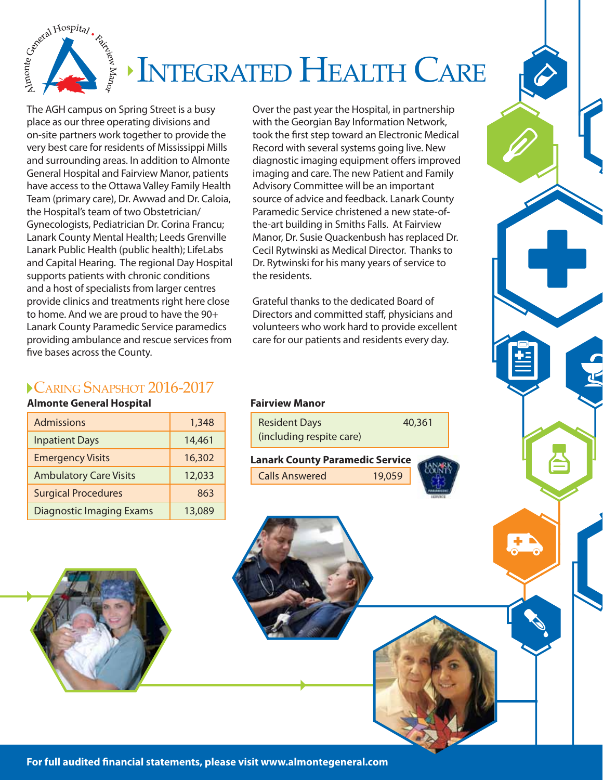

The AGH campus on Spring Street is a busy place as our three operating divisions and on-site partners work together to provide the very best care for residents of Mississippi Mills and surrounding areas. In addition to Almonte General Hospital and Fairview Manor, patients have access to the Ottawa Valley Family Health Team (primary care), Dr. Awwad and Dr. Caloia, the Hospital's team of two Obstetrician/ Gynecologists, Pediatrician Dr. Corina Francu; Lanark County Mental Health; Leeds Grenville Lanark Public Health (public health); LifeLabs and Capital Hearing. The regional Day Hospital supports patients with chronic conditions and a host of specialists from larger centres provide clinics and treatments right here close to home. And we are proud to have the 90+ Lanark County Paramedic Service paramedics providing ambulance and rescue services from five bases across the County.

Over the past year the Hospital, in partnership with the Georgian Bay Information Network, took the first step toward an Electronic Medical Record with several systems going live. New diagnostic imaging equipment offers improved imaging and care. The new Patient and Family Advisory Committee will be an important source of advice and feedback. Lanark County Paramedic Service christened a new state-ofthe-art building in Smiths Falls. At Fairview Manor, Dr. Susie Quackenbush has replaced Dr. Cecil Rytwinski as Medical Director. Thanks to Dr. Rytwinski for his many years of service to the residents.

Grateful thanks to the dedicated Board of Directors and committed staff, physicians and volunteers who work hard to provide excellent care for our patients and residents every day.

### Caring Snapshot 2016-2017

### **Almonte General Hospital**

| <b>Admissions</b>               | 1,348  |
|---------------------------------|--------|
| <b>Inpatient Days</b>           | 14,461 |
| <b>Emergency Visits</b>         | 16,302 |
| <b>Ambulatory Care Visits</b>   | 12,033 |
| <b>Surgical Procedures</b>      | 863    |
| <b>Diagnostic Imaging Exams</b> | 13,089 |

### **Fairview Manor**

| <b>Resident Days</b>     | 40,361 |
|--------------------------|--------|
| (including respite care) |        |





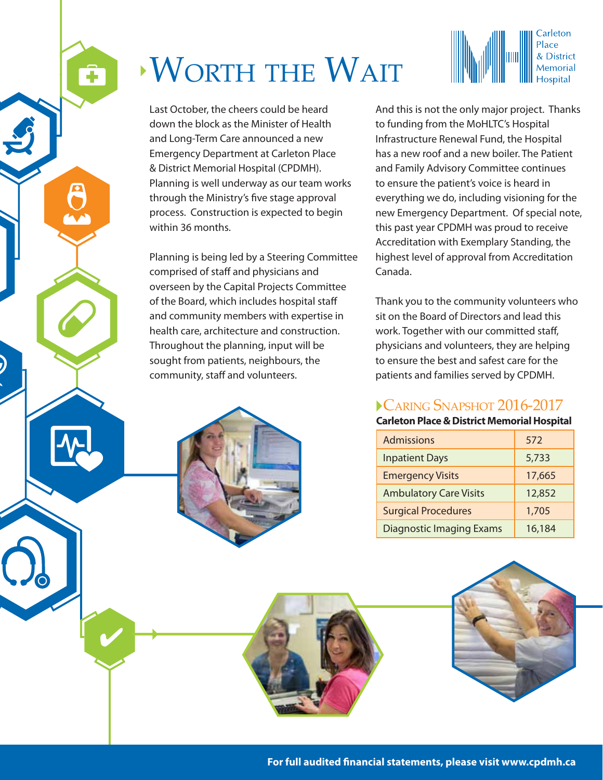# Worth the Wait

ô

6

Last October, the cheers could be heard down the block as the Minister of Health and Long-Term Care announced a new Emergency Department at Carleton Place & District Memorial Hospital (CPDMH). Planning is well underway as our team works through the Ministry's five stage approval process. Construction is expected to begin within 36 months.

Planning is being led by a Steering Committee comprised of staff and physicians and overseen by the Capital Projects Committee of the Board, which includes hospital staff and community members with expertise in health care, architecture and construction. Throughout the planning, input will be sought from patients, neighbours, the community, staff and volunteers.



Carleton

& District Memorial

Thank you to the community volunteers who sit on the Board of Directors and lead this work. Together with our committed staff, physicians and volunteers, they are helping to ensure the best and safest care for the patients and families served by CPDMH.

### Caring Snapshot 2016-2017

### **Carleton Place & District Memorial Hospital**

| <b>Admissions</b>               | 572    |
|---------------------------------|--------|
| <b>Inpatient Days</b>           | 5,733  |
| <b>Emergency Visits</b>         | 17,665 |
| <b>Ambulatory Care Visits</b>   | 12,852 |
| <b>Surgical Procedures</b>      | 1,705  |
| <b>Diagnostic Imaging Exams</b> | 16,184 |